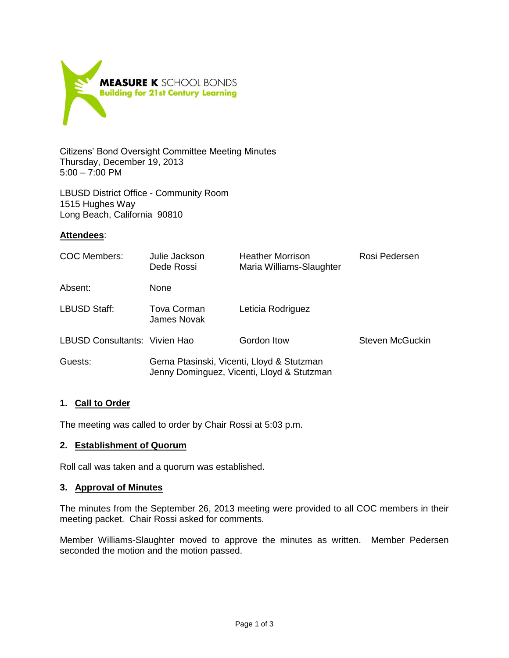

Citizens' Bond Oversight Committee Meeting Minutes Thursday, December 19, 2013 5:00 – 7:00 PM

LBUSD District Office - Community Room 1515 Hughes Way Long Beach, California 90810

### **Attendees**:

| COC Members:                  | Julie Jackson<br>Dede Rossi                                                             | <b>Heather Morrison</b><br>Maria Williams-Slaughter | Rosi Pedersen   |
|-------------------------------|-----------------------------------------------------------------------------------------|-----------------------------------------------------|-----------------|
| Absent:                       | <b>None</b>                                                                             |                                                     |                 |
| LBUSD Staff:                  | Tova Corman<br>James Novak                                                              | Leticia Rodriguez                                   |                 |
| LBUSD Consultants: Vivien Hao |                                                                                         | Gordon Itow                                         | Steven McGuckin |
| Guests:                       | Gema Ptasinski, Vicenti, Lloyd & Stutzman<br>Jenny Dominguez, Vicenti, Lloyd & Stutzman |                                                     |                 |

# **1. Call to Order**

The meeting was called to order by Chair Rossi at 5:03 p.m.

#### **2. Establishment of Quorum**

Roll call was taken and a quorum was established.

#### **3. Approval of Minutes**

The minutes from the September 26, 2013 meeting were provided to all COC members in their meeting packet. Chair Rossi asked for comments.

Member Williams-Slaughter moved to approve the minutes as written. Member Pedersen seconded the motion and the motion passed.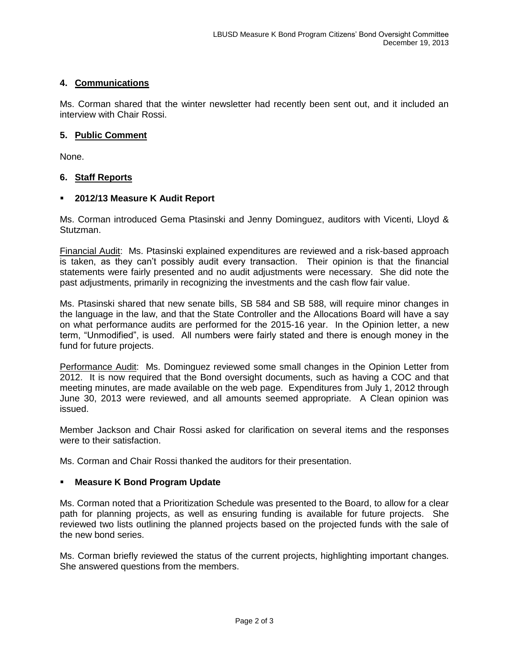# **4. Communications**

Ms. Corman shared that the winter newsletter had recently been sent out, and it included an interview with Chair Rossi.

### **5. Public Comment**

None.

### **6. Staff Reports**

### **2012/13 Measure K Audit Report**

Ms. Corman introduced Gema Ptasinski and Jenny Dominguez, auditors with Vicenti, Lloyd & Stutzman.

Financial Audit: Ms. Ptasinski explained expenditures are reviewed and a risk-based approach is taken, as they can't possibly audit every transaction. Their opinion is that the financial statements were fairly presented and no audit adjustments were necessary. She did note the past adjustments, primarily in recognizing the investments and the cash flow fair value.

Ms. Ptasinski shared that new senate bills, SB 584 and SB 588, will require minor changes in the language in the law, and that the State Controller and the Allocations Board will have a say on what performance audits are performed for the 2015-16 year. In the Opinion letter, a new term, "Unmodified", is used. All numbers were fairly stated and there is enough money in the fund for future projects.

Performance Audit: Ms. Dominguez reviewed some small changes in the Opinion Letter from 2012. It is now required that the Bond oversight documents, such as having a COC and that meeting minutes, are made available on the web page. Expenditures from July 1, 2012 through June 30, 2013 were reviewed, and all amounts seemed appropriate. A Clean opinion was issued.

Member Jackson and Chair Rossi asked for clarification on several items and the responses were to their satisfaction.

Ms. Corman and Chair Rossi thanked the auditors for their presentation.

#### **Measure K Bond Program Update**

Ms. Corman noted that a Prioritization Schedule was presented to the Board, to allow for a clear path for planning projects, as well as ensuring funding is available for future projects. She reviewed two lists outlining the planned projects based on the projected funds with the sale of the new bond series.

Ms. Corman briefly reviewed the status of the current projects, highlighting important changes. She answered questions from the members.